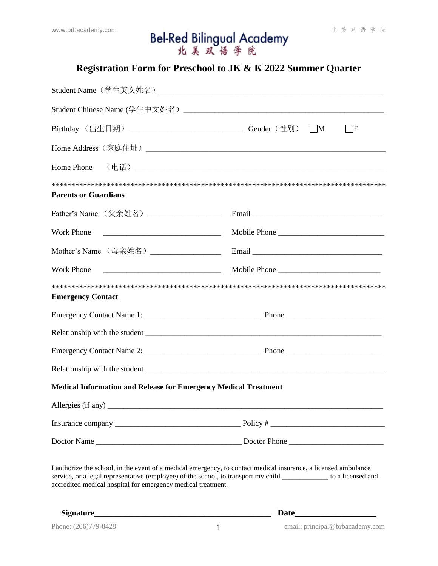# www.brbacademy.com **Bel-Red Bilingual Academy** #美双语学院

# **Registration Form for Preschool to JK & K 2022 Summer Quarter**

| Birthday (出生日期) _________________________________Gender (性别) ___M                                                                                                                                                                                                                                     | $\mathbf{F}$ |  |  |  |
|-------------------------------------------------------------------------------------------------------------------------------------------------------------------------------------------------------------------------------------------------------------------------------------------------------|--------------|--|--|--|
|                                                                                                                                                                                                                                                                                                       |              |  |  |  |
|                                                                                                                                                                                                                                                                                                       |              |  |  |  |
| <b>Parents or Guardians</b>                                                                                                                                                                                                                                                                           |              |  |  |  |
| Father's Name (父亲姓名) __________________                                                                                                                                                                                                                                                               |              |  |  |  |
| Work Phone                                                                                                                                                                                                                                                                                            | Mobile Phone |  |  |  |
| Mother's Name (母亲姓名) ___________________                                                                                                                                                                                                                                                              | Email        |  |  |  |
| <b>Work Phone</b><br><u> Alexandro Alexandro Alexandro Alexandro Alexandro Alexandro Alexandro Alexandro Alexandro Alexandro Alexandro </u>                                                                                                                                                           | Mobile Phone |  |  |  |
| <b>Emergency Contact</b>                                                                                                                                                                                                                                                                              |              |  |  |  |
|                                                                                                                                                                                                                                                                                                       |              |  |  |  |
|                                                                                                                                                                                                                                                                                                       |              |  |  |  |
|                                                                                                                                                                                                                                                                                                       |              |  |  |  |
|                                                                                                                                                                                                                                                                                                       |              |  |  |  |
| <b>Medical Information and Release for Emergency Medical Treatment</b>                                                                                                                                                                                                                                |              |  |  |  |
| Allergies (if any)<br><u> 1989 - John Stoff, deutscher Stoff, der Stoff, der Stoff, der Stoff, der Stoff, der Stoff, der Stoff, der Sto</u>                                                                                                                                                           |              |  |  |  |
|                                                                                                                                                                                                                                                                                                       |              |  |  |  |
|                                                                                                                                                                                                                                                                                                       |              |  |  |  |
| I authorize the school, in the event of a medical emergency, to contact medical insurance, a licensed ambulance<br>service, or a legal representative (employee) of the school, to transport my child _____________ to a licensed and<br>accredited medical hospital for emergency medical treatment. |              |  |  |  |

**Signature\_\_\_\_\_\_\_\_\_\_\_\_\_\_\_\_\_\_\_\_\_\_\_\_\_\_\_\_\_\_\_\_\_\_\_\_\_\_\_\_\_\_\_\_\_ Date\_\_\_\_\_\_\_\_\_\_\_\_\_\_\_\_\_\_\_**